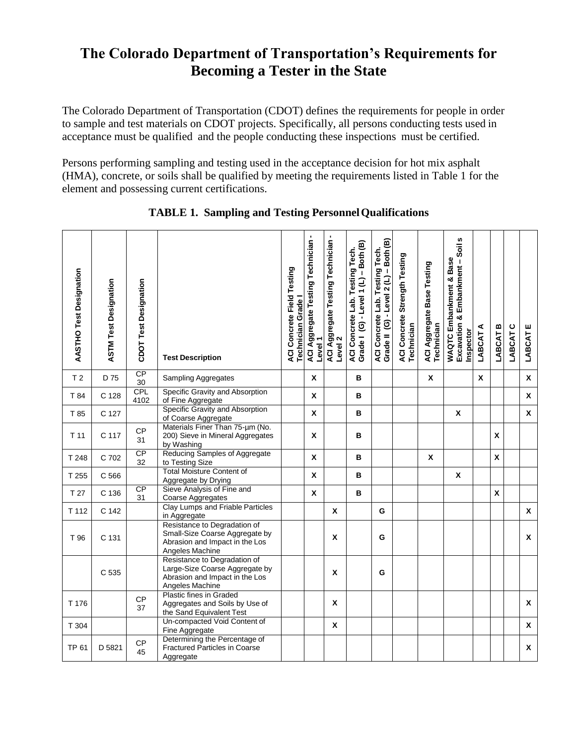## **The Colorado Department of Transportation's Requirements for Becoming a Tester in the State**

The Colorado Department of Transportation (CDOT) defines the requirements for people in order to sample and test materials on CDOT projects. Specifically, all persons conducting tests used in acceptance must be qualified and the people conducting these inspections must be certified.

Persons performing sampling and testing used in the acceptance decision for hot mix asphalt (HMA), concrete, or soils shall be qualified by meeting the requirements listed in Table 1 for the element and possessing current certifications.

| AASTHO Test Designation | <b>ASTM Test Designation</b> | CDOT Test Designation | <b>Test Description</b>                                                                                             | ACI Concrete Field Testing<br>Technician Grade | <b>ACI Aggregate Testing Technician -</b><br>Level 1 | ACI Aggregate Testing Technician -<br>Level 2 | ACI Concrete Lab. Testing Tech.<br>Grade I (G) - Level 1 (L) – Both (B) | Grade II (G) - Level 2 (L) - Both (B)<br>ACI Concrete Lab. Testing Tech. | ACI Concrete Strength Testing<br>Technician | ACI Aggregate Base Testing<br>Technician | S<br>Excavation & Embankment - Soil<br>WAQTC Embankment & Base<br>Inspector | LABCAT A | LABCAT B           | LABCAT C | ш<br>LABCAT  |
|-------------------------|------------------------------|-----------------------|---------------------------------------------------------------------------------------------------------------------|------------------------------------------------|------------------------------------------------------|-----------------------------------------------|-------------------------------------------------------------------------|--------------------------------------------------------------------------|---------------------------------------------|------------------------------------------|-----------------------------------------------------------------------------|----------|--------------------|----------|--------------|
| T <sub>2</sub>          | D 75                         | CP<br>30              | <b>Sampling Aggregates</b>                                                                                          |                                                | $\mathbf x$                                          |                                               | в                                                                       |                                                                          |                                             | X                                        |                                                                             | X        |                    |          | X            |
| T 84                    | C 128                        | CPL<br>4102           | Specific Gravity and Absorption<br>of Fine Aggregate                                                                |                                                | $\mathbf{x}$                                         |                                               | в                                                                       |                                                                          |                                             |                                          |                                                                             |          |                    |          | $\mathbf x$  |
| T 85                    | C 127                        |                       | Specific Gravity and Absorption<br>of Coarse Aggregate                                                              |                                                | $\pmb{\chi}$                                         |                                               | в                                                                       |                                                                          |                                             |                                          | $\pmb{\chi}$                                                                |          |                    |          | $\mathbf{x}$ |
| T <sub>11</sub>         | C 117                        | CP<br>31              | Materials Finer Than 75-um (No.<br>200) Sieve in Mineral Aggregates<br>by Washing                                   |                                                | X                                                    |                                               | в                                                                       |                                                                          |                                             |                                          |                                                                             |          | X                  |          |              |
| T 248                   | C 702                        | CP<br>32              | Reducing Samples of Aggregate<br>to Testing Size                                                                    |                                                | X                                                    |                                               | в                                                                       |                                                                          |                                             | X                                        |                                                                             |          | $\pmb{\mathsf{X}}$ |          |              |
| T 255                   | C 566                        |                       | <b>Total Moisture Content of</b><br>Aggregate by Drying                                                             |                                                | $\mathbf x$                                          |                                               | в                                                                       |                                                                          |                                             |                                          | X                                                                           |          |                    |          |              |
| T 27                    | C 136                        | CP<br>31              | Sieve Analysis of Fine and<br>Coarse Aggregates                                                                     |                                                | X                                                    |                                               | в                                                                       |                                                                          |                                             |                                          |                                                                             |          | $\mathsf{x}$       |          |              |
| T 112                   | C 142                        |                       | Clay Lumps and Friable Particles<br>in Aggregate                                                                    |                                                |                                                      | X                                             |                                                                         | G                                                                        |                                             |                                          |                                                                             |          |                    |          | X            |
| T 96                    | C 131                        |                       | Resistance to Degradation of<br>Small-Size Coarse Aggregate by<br>Abrasion and Impact in the Los<br>Angeles Machine |                                                |                                                      | X                                             |                                                                         | G                                                                        |                                             |                                          |                                                                             |          |                    |          | X            |
|                         | C 535                        |                       | Resistance to Degradation of<br>Large-Size Coarse Aggregate by<br>Abrasion and Impact in the Los<br>Angeles Machine |                                                |                                                      | X                                             |                                                                         | G                                                                        |                                             |                                          |                                                                             |          |                    |          |              |
| T 176                   |                              | CP<br>37              | <b>Plastic fines in Graded</b><br>Aggregates and Soils by Use of<br>the Sand Equivalent Test                        |                                                |                                                      | X                                             |                                                                         |                                                                          |                                             |                                          |                                                                             |          |                    |          | X            |
| T 304                   |                              |                       | Un-compacted Void Content of<br>Fine Aggregate                                                                      |                                                |                                                      | Χ                                             |                                                                         |                                                                          |                                             |                                          |                                                                             |          |                    |          | X            |
| <b>TP 61</b>            | D 5821                       | CP<br>45              | Determining the Percentage of<br><b>Fractured Particles in Coarse</b><br>Aggregate                                  |                                                |                                                      |                                               |                                                                         |                                                                          |                                             |                                          |                                                                             |          |                    |          | X            |

**TABLE 1. Sampling and Testing PersonnelQualifications**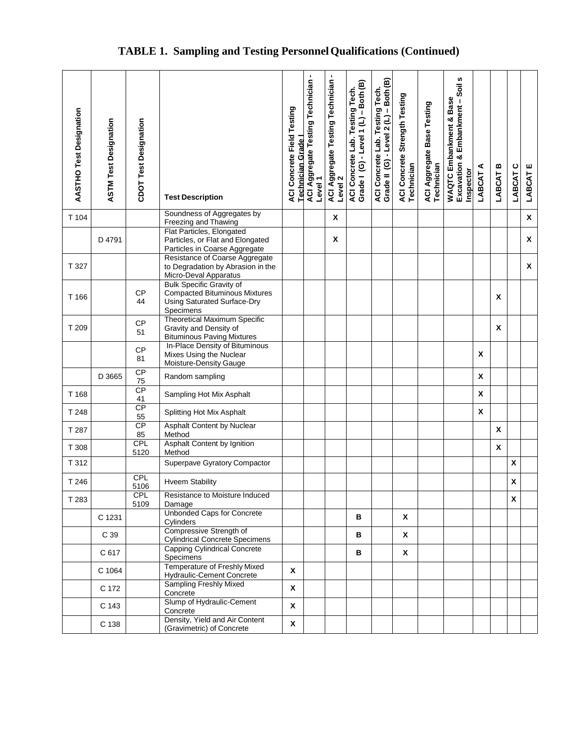# **TABLE 1. Sampling and Testing PersonnelQualifications (Continued)**

| AASTHO Test Designation | <b>ASTM Test Designation</b> | CDOT Test Designation | <b>Test Description</b>                                                                                                    | <b>ACI Concrete Field Testing</b><br>Technician Grade | ACI Aggregate Testing Technician -<br>Level <sub>1</sub> | <b>ACI Aggregate Testing Technician-</b><br>Level <sub>2</sub> | Grade I (G) - Level 1 (L) - Both (B)<br>ACI Concrete Lab. Testing Tech. | Grade II (G) - Level 2 (L) - Both (B)<br>ACI Concrete Lab. Testing Tech. | ACI Concrete Strength Testing<br>Technician | ACI Aggregate Base Testing<br>Technician | w<br>Soil<br>WAQTC Embankment & Base<br>Excavation & Embankment -<br>Inspector | ⋖<br>LABCAT        | LABCAT B | LABCAT C | LABCAT E |
|-------------------------|------------------------------|-----------------------|----------------------------------------------------------------------------------------------------------------------------|-------------------------------------------------------|----------------------------------------------------------|----------------------------------------------------------------|-------------------------------------------------------------------------|--------------------------------------------------------------------------|---------------------------------------------|------------------------------------------|--------------------------------------------------------------------------------|--------------------|----------|----------|----------|
| T 104                   |                              |                       | Soundness of Aggregates by<br>Freezing and Thawing                                                                         |                                                       |                                                          | X                                                              |                                                                         |                                                                          |                                             |                                          |                                                                                |                    |          |          | X        |
|                         | D 4791                       |                       | Flat Particles, Elongated<br>Particles, or Flat and Elongated<br>Particles in Coarse Aggregate                             |                                                       |                                                          | X                                                              |                                                                         |                                                                          |                                             |                                          |                                                                                |                    |          |          | X        |
| T 327                   |                              |                       | Resistance of Coarse Aggregate<br>to Degradation by Abrasion in the<br>Micro-Deval Apparatus                               |                                                       |                                                          |                                                                |                                                                         |                                                                          |                                             |                                          |                                                                                |                    |          |          | X        |
| T 166                   |                              | <b>CP</b><br>44       | <b>Bulk Specific Gravity of</b><br><b>Compacted Bituminous Mixtures</b><br><b>Using Saturated Surface-Dry</b><br>Specimens |                                                       |                                                          |                                                                |                                                                         |                                                                          |                                             |                                          |                                                                                |                    | X        |          |          |
| T 209                   |                              | CP<br>51              | <b>Theoretical Maximum Specific</b><br>Gravity and Density of<br><b>Bituminous Paving Mixtures</b>                         |                                                       |                                                          |                                                                |                                                                         |                                                                          |                                             |                                          |                                                                                |                    | X        |          |          |
|                         |                              | <b>CP</b><br>81       | In-Place Density of Bituminous<br>Mixes Using the Nuclear<br>Moisture-Density Gauge                                        |                                                       |                                                          |                                                                |                                                                         |                                                                          |                                             |                                          |                                                                                | X                  |          |          |          |
|                         | D 3665                       | CP<br>75              | Random sampling                                                                                                            |                                                       |                                                          |                                                                |                                                                         |                                                                          |                                             |                                          |                                                                                | X                  |          |          |          |
| T 168                   |                              | CP<br>41              | Sampling Hot Mix Asphalt                                                                                                   |                                                       |                                                          |                                                                |                                                                         |                                                                          |                                             |                                          |                                                                                | $\pmb{\chi}$       |          |          |          |
| T 248                   |                              | CP<br>55              | Splitting Hot Mix Asphalt                                                                                                  |                                                       |                                                          |                                                                |                                                                         |                                                                          |                                             |                                          |                                                                                | $\pmb{\mathsf{x}}$ |          |          |          |
| T 287                   |                              | CP<br>85              | Asphalt Content by Nuclear<br>Method                                                                                       |                                                       |                                                          |                                                                |                                                                         |                                                                          |                                             |                                          |                                                                                |                    | X        |          |          |
| T 308                   |                              | <b>CPL</b><br>5120    | Asphalt Content by Ignition<br>Method                                                                                      |                                                       |                                                          |                                                                |                                                                         |                                                                          |                                             |                                          |                                                                                |                    | X        |          |          |
| T 312                   |                              |                       | Superpave Gyratory Compactor                                                                                               |                                                       |                                                          |                                                                |                                                                         |                                                                          |                                             |                                          |                                                                                |                    |          | X        |          |
| T 246                   |                              | <b>CPL</b><br>5106    | <b>Hveem Stability</b>                                                                                                     |                                                       |                                                          |                                                                |                                                                         |                                                                          |                                             |                                          |                                                                                |                    |          | X        |          |
| T 283                   |                              | <b>CPL</b><br>5109    | Resistance to Moisture Induced<br>Damage                                                                                   |                                                       |                                                          |                                                                |                                                                         |                                                                          |                                             |                                          |                                                                                |                    |          | X        |          |
|                         | C 1231                       |                       | <b>Unbonded Caps for Concrete</b><br>Cylinders                                                                             |                                                       |                                                          |                                                                | в                                                                       |                                                                          | X                                           |                                          |                                                                                |                    |          |          |          |
|                         | C 39                         |                       | Compressive Strength of<br><b>Cylindrical Concrete Specimens</b>                                                           |                                                       |                                                          |                                                                | в                                                                       |                                                                          | X                                           |                                          |                                                                                |                    |          |          |          |
|                         | C 617                        |                       | <b>Capping Cylindrical Concrete</b><br>Specimens                                                                           |                                                       |                                                          |                                                                | в                                                                       |                                                                          | X                                           |                                          |                                                                                |                    |          |          |          |
|                         | C 1064                       |                       | <b>Temperature of Freshly Mixed</b><br>Hydraulic-Cement Concrete                                                           | X                                                     |                                                          |                                                                |                                                                         |                                                                          |                                             |                                          |                                                                                |                    |          |          |          |
|                         | C 172                        |                       | <b>Sampling Freshly Mixed</b><br>Concrete                                                                                  | X                                                     |                                                          |                                                                |                                                                         |                                                                          |                                             |                                          |                                                                                |                    |          |          |          |
|                         | C 143                        |                       | Slump of Hydraulic-Cement<br>Concrete                                                                                      | X                                                     |                                                          |                                                                |                                                                         |                                                                          |                                             |                                          |                                                                                |                    |          |          |          |
|                         | C 138                        |                       | Density, Yield and Air Content<br>(Gravimetric) of Concrete                                                                | $\pmb{\mathsf{X}}$                                    |                                                          |                                                                |                                                                         |                                                                          |                                             |                                          |                                                                                |                    |          |          |          |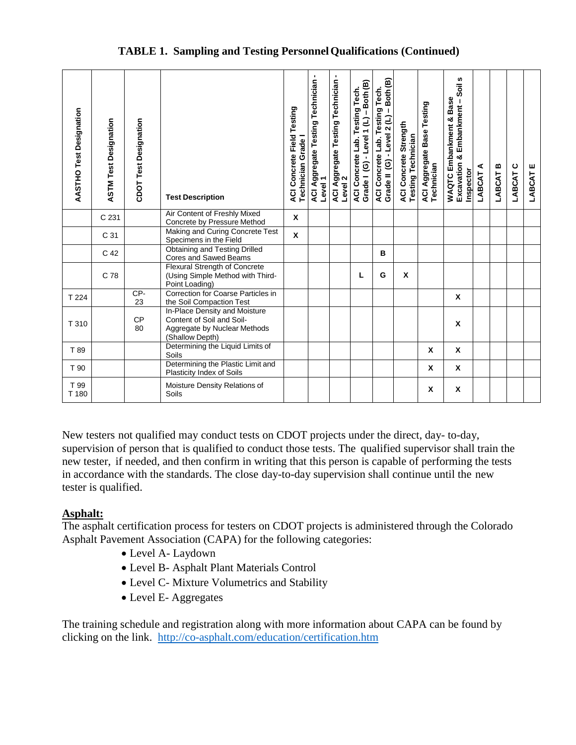| <b>AASTHO Test Designation</b> | <b>ASTM Test Designation</b> | CDOT Test Designation | <b>Test Description</b>                                                                                       | ACI Concrete Field Testing<br>Technician Grade | ٠<br>ACI Aggregate Testing Technician<br>Level 1 | $\blacksquare$<br>ACI Aggregate Testing Technician<br>Level 2 | Grade I (G) - Level 1 (L) - Both (B)<br>ACI Concrete Lab. Testing Tech. | Grade II (G) - Level 2 (L) - Both (B)<br>ACI Concrete Lab. Testing Tech. | ACI Concrete Strength<br><b>Testing Technician</b> | ACI Aggregate Base Testing<br>Technician | w<br>$rac{1}{2}$<br><b>WAQTC Embankment &amp; Base</b><br>Excavation & Embankment -<br>Inspector | LABCAT A | LABCAT B | ပ<br>LABCAT | ш<br><b>LABCAT</b> |
|--------------------------------|------------------------------|-----------------------|---------------------------------------------------------------------------------------------------------------|------------------------------------------------|--------------------------------------------------|---------------------------------------------------------------|-------------------------------------------------------------------------|--------------------------------------------------------------------------|----------------------------------------------------|------------------------------------------|--------------------------------------------------------------------------------------------------|----------|----------|-------------|--------------------|
|                                | C 231                        |                       | Air Content of Freshly Mixed<br>Concrete by Pressure Method                                                   | X                                              |                                                  |                                                               |                                                                         |                                                                          |                                                    |                                          |                                                                                                  |          |          |             |                    |
|                                | C 31                         |                       | Making and Curing Concrete Test<br>Specimens in the Field                                                     | $\pmb{\chi}$                                   |                                                  |                                                               |                                                                         |                                                                          |                                                    |                                          |                                                                                                  |          |          |             |                    |
|                                | C <sub>42</sub>              |                       | Obtaining and Testing Drilled<br>Cores and Sawed Beams                                                        |                                                |                                                  |                                                               |                                                                         | B                                                                        |                                                    |                                          |                                                                                                  |          |          |             |                    |
|                                | C 78                         |                       | <b>Flexural Strength of Concrete</b><br>(Using Simple Method with Third-<br>Point Loading)                    |                                                |                                                  |                                                               | L                                                                       | G                                                                        | X                                                  |                                          |                                                                                                  |          |          |             |                    |
| T 224                          |                              | CP-<br>23             | Correction for Coarse Particles in<br>the Soil Compaction Test                                                |                                                |                                                  |                                                               |                                                                         |                                                                          |                                                    |                                          | X                                                                                                |          |          |             |                    |
| T 310                          |                              | <b>CP</b><br>80       | In-Place Density and Moisture<br>Content of Soil and Soil-<br>Aggregate by Nuclear Methods<br>(Shallow Depth) |                                                |                                                  |                                                               |                                                                         |                                                                          |                                                    |                                          | X                                                                                                |          |          |             |                    |
| T 89                           |                              |                       | Determining the Liquid Limits of<br>Soils                                                                     |                                                |                                                  |                                                               |                                                                         |                                                                          |                                                    | X                                        | X                                                                                                |          |          |             |                    |
| T 90                           |                              |                       | Determining the Plastic Limit and<br>Plasticity Index of Soils                                                |                                                |                                                  |                                                               |                                                                         |                                                                          |                                                    | X                                        | X                                                                                                |          |          |             |                    |
| T 99<br>T 180                  |                              |                       | Moisture Density Relations of<br>Soils                                                                        |                                                |                                                  |                                                               |                                                                         |                                                                          |                                                    | X                                        | X                                                                                                |          |          |             |                    |

New testers not qualified may conduct tests on CDOT projects under the direct, day- to-day, supervision of person that is qualified to conduct those tests. The qualified supervisor shall train the new tester, if needed, and then confirm in writing that this person is capable of performing the tests in accordance with the standards. The close day-to-day supervision shall continue until the new tester is qualified.

## **Asphalt:**

The asphalt certification process for testers on CDOT projects is administered through the Colorado Asphalt Pavement Association (CAPA) for the following categories:

- Level A- Laydown
- Level B- Asphalt Plant Materials Control
- Level C- Mixture Volumetrics and Stability
- Level E-Aggregates

The training schedule and registration along with more information about CAPA can be found by clicking on the link. <http://co-asphalt.com/education/certification.htm>